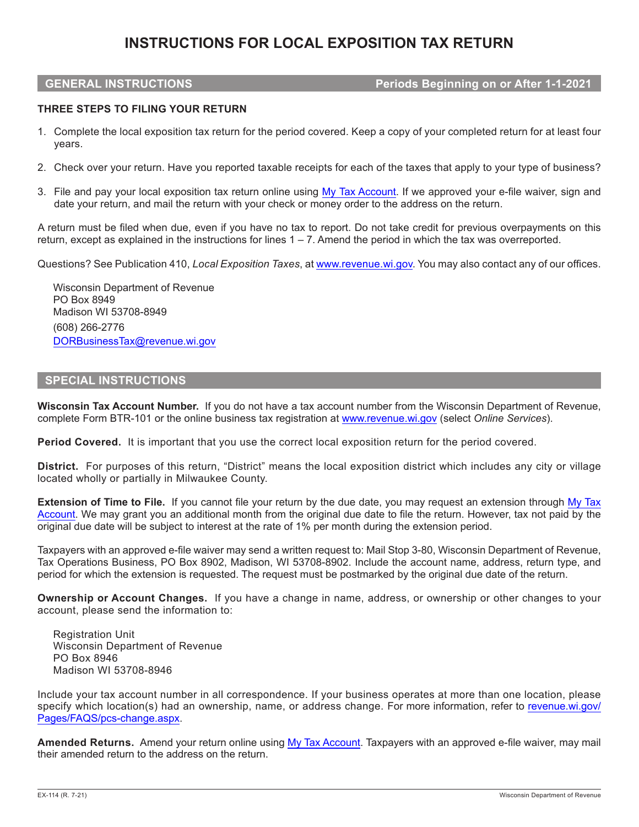# **INSTRUCTIONS FOR LOCAL EXPOSITION TAX RETURN**

## **GENERAL INSTRUCTIONS Periods Beginning on or After 1-1-2021**

### **THREE STEPS TO FILING YOUR RETURN**

- 1. Complete the local exposition tax return for the period covered. Keep a copy of your completed return for at least four years.
- 2. Check over your return. Have you reported taxable receipts for each of the taxes that apply to your type of business?
- 3. File and pay your local exposition tax return online using [My Tax Account](https://tap.revenue.wi.gov/mta/). If we approved your e-file waiver, sign and date your return, and mail the return with your check or money order to the address on the return.

A return must be filed when due, even if you have no tax to report. Do not take credit for previous overpayments on this return, except as explained in the instructions for lines 1 – 7. Amend the period in which the tax was overreported.

Questions? See Publication 410, *Local Exposition Taxes*, at [www.revenue.wi.gov](http://www.revenue.wi.gov). You may also contact any of our offices.

Wisconsin Department of Revenue PO Box 8949 Madison WI 53708-8949 (608) 266-2776 DORBusinessTax@revenue.wi.gov

# **SPECIAL INSTRUCTIONS**

**Wisconsin Tax Account Number.** If you do not have a tax account number from the Wisconsin Department of Revenue, complete Form BTR-101 or the online business tax registration at [www.revenue.wi.gov](http://www.revenue.wi.gov) (select *Online Services*).

**Period Covered.** It is important that you use the correct local exposition return for the period covered.

**District.** For purposes of this return, "District" means the local exposition district which includes any city or village located wholly or partially in Milwaukee County.

**Extension of Time to File.** If you cannot file your return by the due date, you may request an extension through [My Tax](https://tap.revenue.wi.gov/mta/)  [Account](https://tap.revenue.wi.gov/mta/). We may grant you an additional month from the original due date to file the return. However, tax not paid by the original due date will be subject to interest at the rate of 1% per month during the extension period.

Taxpayers with an approved e-file waiver may send a written request to: Mail Stop 3-80, Wisconsin Department of Revenue, Tax Operations Business, PO Box 8902, Madison, WI 53708-8902. Include the account name, address, return type, and period for which the extension is requested. The request must be postmarked by the original due date of the return.

**Ownership or Account Changes.** If you have a change in name, address, or ownership or other changes to your account, please send the information to:

Registration Unit Wisconsin Department of Revenue PO Box 8946 Madison WI 53708-8946

Include your tax account number in all correspondence. If your business operates at more than one location, please specify which location(s) had an ownership, name, or address change. For more information, refer to [revenue.wi.gov/](https://www.revenue.wi.gov/Pages/FAQS/pcs-change.aspx) [Pages/FAQS/pcs-change.aspx](https://www.revenue.wi.gov/Pages/FAQS/pcs-change.aspx).

**Amended Returns.** Amend your return online using [My Tax Account](https://tap.revenue.wi.gov/mta/). Taxpayers with an approved e-file waiver, may mail their amended return to the address on the return.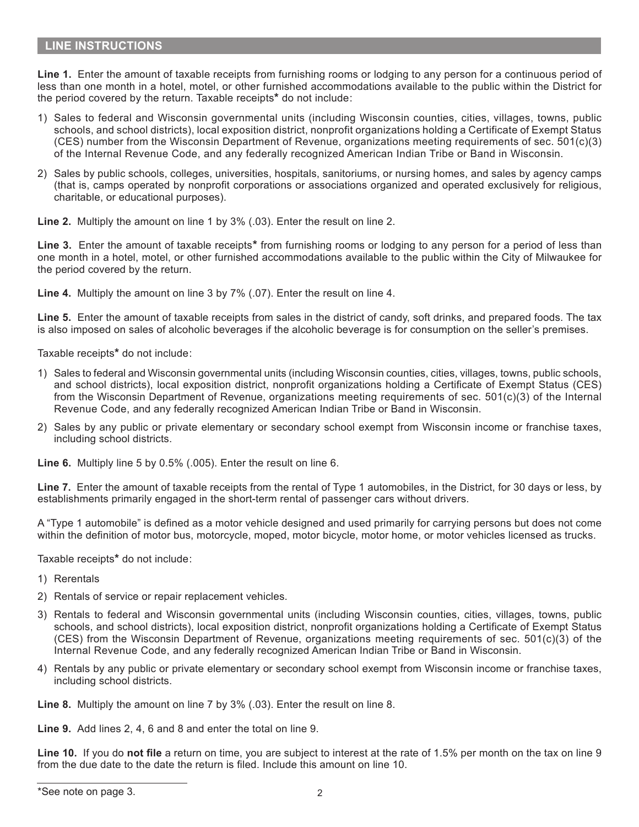# **LINE INSTRUCTIONS**

**Line 1.** Enter the amount of taxable receipts from furnishing rooms or lodging to any person for a continuous period of less than one month in a hotel, motel, or other furnished accommodations available to the public within the District for the period covered by the return. Taxable receipts**\*** do not include:

- 1) Sales to federal and Wisconsin governmental units (including Wisconsin counties, cities, villages, towns, public schools, and school districts), local exposition district, nonprofit organizations holding a Certificate of Exempt Status (CES) number from the Wisconsin Department of Revenue, organizations meeting requirements of sec. 501(c)(3) of the Internal Revenue Code, and any federally recognized American Indian Tribe or Band in Wisconsin.
- 2) Sales by public schools, colleges, universities, hospitals, sanitoriums, or nursing homes, and sales by agency camps (that is, camps operated by nonprofit corporations or associations organized and operated exclusively for religious, charitable, or educational purposes).

**Line 2.** Multiply the amount on line 1 by 3% (.03). Enter the result on line 2.

**Line 3.** Enter the amount of taxable receipts**\*** from furnishing rooms or lodging to any person for a period of less than one month in a hotel, motel, or other furnished accommodations available to the public within the City of Milwaukee for the period covered by the return.

**Line 4.** Multiply the amount on line 3 by 7% (.07). Enter the result on line 4.

**Line 5.** Enter the amount of taxable receipts from sales in the district of candy, soft drinks, and prepared foods. The tax is also imposed on sales of alcoholic beverages if the alcoholic beverage is for consumption on the seller's premises.

Taxable receipts**\*** do not include:

- 1) Sales to federal and Wisconsin governmental units (including Wisconsin counties, cities, villages, towns, public schools, and school districts), local exposition district, nonprofit organizations holding a Certificate of Exempt Status (CES) from the Wisconsin Department of Revenue, organizations meeting requirements of sec. 501(c)(3) of the Internal Revenue Code, and any federally recognized American Indian Tribe or Band in Wisconsin.
- 2) Sales by any public or private elementary or secondary school exempt from Wisconsin income or franchise taxes, including school districts.

**Line 6.** Multiply line 5 by 0.5% (.005). Enter the result on line 6.

**Line 7.** Enter the amount of taxable receipts from the rental of Type 1 automobiles, in the District, for 30 days or less, by establishments primarily engaged in the short-term rental of passenger cars without drivers.

A "Type 1 automobile" is defined as a motor vehicle designed and used primarily for carrying persons but does not come within the definition of motor bus, motorcycle, moped, motor bicycle, motor home, or motor vehicles licensed as trucks.

Taxable receipts**\*** do not include:

- 1) Rerentals
- 2) Rentals of service or repair replacement vehicles.
- 3) Rentals to federal and Wisconsin governmental units (including Wisconsin counties, cities, villages, towns, public schools, and school districts), local exposition district, nonprofit organizations holding a Certificate of Exempt Status (CES) from the Wisconsin Department of Revenue, organizations meeting requirements of sec. 501(c)(3) of the Internal Revenue Code, and any federally recognized American Indian Tribe or Band in Wisconsin.
- 4) Rentals by any public or private elementary or secondary school exempt from Wisconsin income or franchise taxes, including school districts.

**Line 8.** Multiply the amount on line 7 by 3% (.03). Enter the result on line 8.

**Line 9.** Add lines 2, 4, 6 and 8 and enter the total on line 9.

**Line 10.** If you do **not file** a return on time, you are subject to interest at the rate of 1.5% per month on the tax on line 9 from the due date to the date the return is filed. Include this amount on line 10.

<sup>\*</sup>See note on page 3. 2